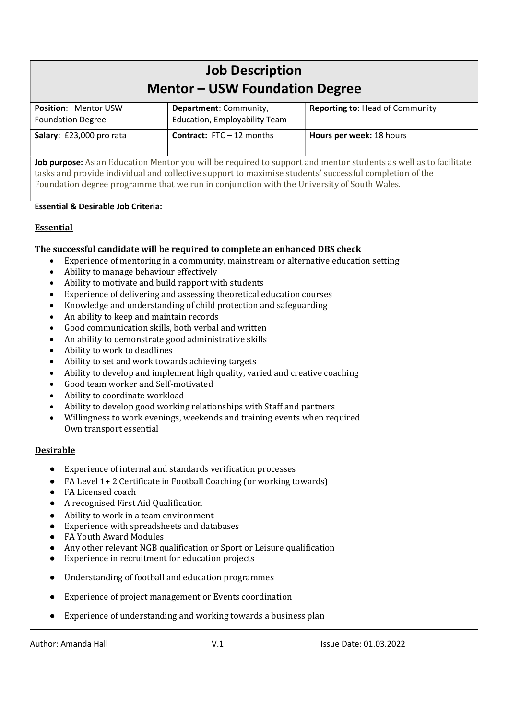# Job Description Mentor – USW Foundation Degree

| <b>Position: Mentor USW</b><br><b>Foundation Degree</b> | Department: Community,<br><b>Education, Employability Team</b> | <b>Reporting to: Head of Community</b> |
|---------------------------------------------------------|----------------------------------------------------------------|----------------------------------------|
| Salary: £23,000 pro rata                                | <b>Contract:</b> $FTC - 12$ months                             | <b>Hours per week: 18 hours</b>        |

Job purpose: As an Education Mentor you will be required to support and mentor students as well as to facilitate tasks and provide individual and collective support to maximise students' successful completion of the Foundation degree programme that we run in conjunction with the University of South Wales.

# Essential & Desirable Job Criteria:

# Essential

# The successful candidate will be required to complete an enhanced DBS check

- Experience of mentoring in a community, mainstream or alternative education setting
- Ability to manage behaviour effectively
- Ability to motivate and build rapport with students
- Experience of delivering and assessing theoretical education courses
- Knowledge and understanding of child protection and safeguarding
- An ability to keep and maintain records
- Good communication skills, both verbal and written
- An ability to demonstrate good administrative skills
- Ability to work to deadlines
- Ability to set and work towards achieving targets
- Ability to develop and implement high quality, varied and creative coaching
- Good team worker and Self-motivated
- Ability to coordinate workload
- Ability to develop good working relationships with Staff and partners
- Willingness to work evenings, weekends and training events when required Own transport essential

# Desirable

- Experience of internal and standards verification processes
- FA Level 1+2 Certificate in Football Coaching (or working towards)
- FA Licensed coach
- A recognised First Aid Qualification
- Ability to work in a team environment
- Experience with spreadsheets and databases
- FA Youth Award Modules
- Any other relevant NGB qualification or Sport or Leisure qualification
- Experience in recruitment for education projects
- Understanding of football and education programmes
- Experience of project management or Events coordination
- Experience of understanding and working towards a business plan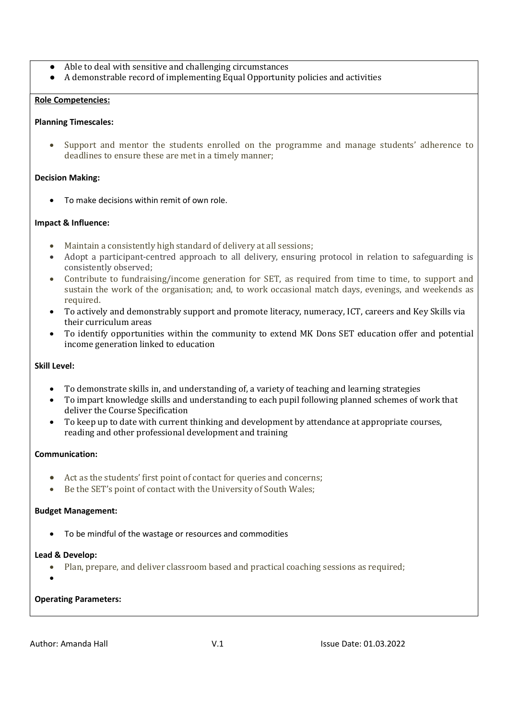- Able to deal with sensitive and challenging circumstances
- A demonstrable record of implementing Equal Opportunity policies and activities

## Role Competencies:

## Planning Timescales:

 Support and mentor the students enrolled on the programme and manage students' adherence to deadlines to ensure these are met in a timely manner;

## Decision Making:

To make decisions within remit of own role.

## Impact & Influence:

- Maintain a consistently high standard of delivery at all sessions;
- Adopt a participant-centred approach to all delivery, ensuring protocol in relation to safeguarding is consistently observed;
- Contribute to fundraising/income generation for SET, as required from time to time, to support and sustain the work of the organisation; and, to work occasional match days, evenings, and weekends as required.
- To actively and demonstrably support and promote literacy, numeracy, ICT, careers and Key Skills via their curriculum areas
- To identify opportunities within the community to extend MK Dons SET education offer and potential income generation linked to education

# Skill Level:

- To demonstrate skills in, and understanding of, a variety of teaching and learning strategies
- To impart knowledge skills and understanding to each pupil following planned schemes of work that deliver the Course Specification
- To keep up to date with current thinking and development by attendance at appropriate courses, reading and other professional development and training

# Communication:

- Act as the students' first point of contact for queries and concerns;
- Be the SET's point of contact with the University of South Wales;

#### Budget Management:

To be mindful of the wastage or resources and commodities

#### Lead & Develop:

- Plan, prepare, and deliver classroom based and practical coaching sessions as required;
- $\bullet$

## Operating Parameters: